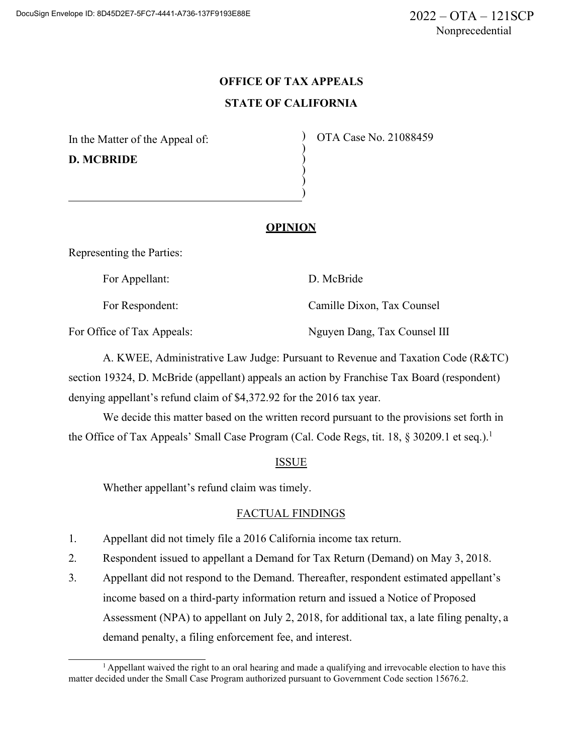# **OFFICE OF TAX APPEALS STATE OF CALIFORNIA**

) ) ) ) )

In the Matter of the Appeal of: **D. MCBRIDE**

) OTA Case No. 21088459

## **OPINION**

Representing the Parties:

For Appellant: D. McBride

For Respondent: Camille Dixon, Tax Counsel

For Office of Tax Appeals: Nguyen Dang, Tax Counsel III

A. KWEE, Administrative Law Judge: Pursuant to Revenue and Taxation Code (R&TC) section 19324, D. McBride (appellant) appeals an action by Franchise Tax Board (respondent) denying appellant's refund claim of \$4,372.92 for the 2016 tax year.

We decide this matter based on the written record pursuant to the provisions set forth in the Office of Tax Appeals' Small Case Program (Cal. Code Regs, tit. 18, § 30209.1 et seq.).<sup>1</sup>

## ISSUE

Whether appellant's refund claim was timely.

## FACTUAL FINDINGS

- 1. Appellant did not timely file a 2016 California income tax return.
- 2. Respondent issued to appellant a Demand for Tax Return (Demand) on May 3, 2018.
- 3. Appellant did not respond to the Demand. Thereafter, respondent estimated appellant's income based on a third-party information return and issued a Notice of Proposed Assessment (NPA) to appellant on July 2, 2018, for additional tax, a late filing penalty, a demand penalty, a filing enforcement fee, and interest.

<sup>&</sup>lt;sup>1</sup> Appellant waived the right to an oral hearing and made a qualifying and irrevocable election to have this matter decided under the Small Case Program authorized pursuant to Government Code section 15676.2.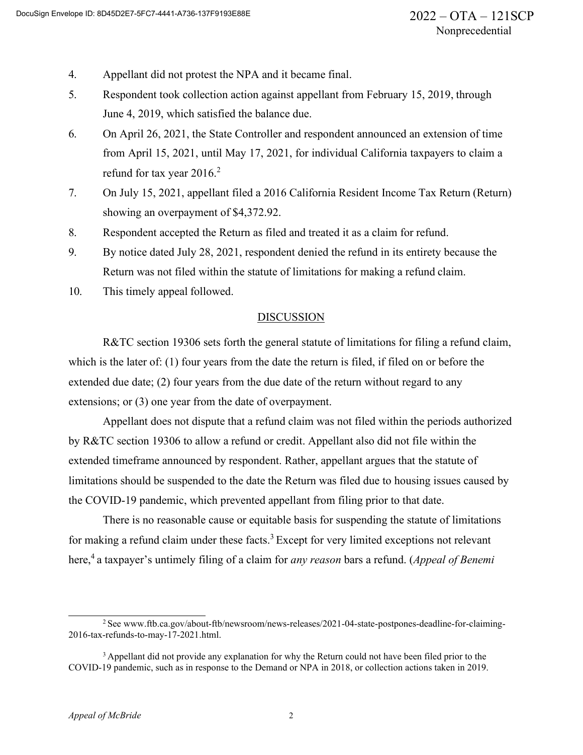- 4. Appellant did not protest the NPA and it became final.
- 5. Respondent took collection action against appellant from February 15, 2019, through June 4, 2019, which satisfied the balance due.
- 6. On April 26, 2021, the State Controller and respondent announced an extension of time from April 15, 2021, until May 17, 2021, for individual California taxpayers to claim a refund for tax year  $2016.<sup>2</sup>$
- 7. On July 15, 2021, appellant filed a 2016 California Resident Income Tax Return (Return) showing an overpayment of \$4,372.92.
- 8. Respondent accepted the Return as filed and treated it as a claim for refund.
- 9. By notice dated July 28, 2021, respondent denied the refund in its entirety because the Return was not filed within the statute of limitations for making a refund claim.
- 10. This timely appeal followed.

#### DISCUSSION

R&TC section 19306 sets forth the general statute of limitations for filing a refund claim, which is the later of: (1) four years from the date the return is filed, if filed on or before the extended due date; (2) four years from the due date of the return without regard to any extensions; or (3) one year from the date of overpayment.

Appellant does not dispute that a refund claim was not filed within the periods authorized by R&TC section 19306 to allow a refund or credit. Appellant also did not file within the extended timeframe announced by respondent. Rather, appellant argues that the statute of limitations should be suspended to the date the Return was filed due to housing issues caused by the COVID-19 pandemic, which prevented appellant from filing prior to that date.

There is no reasonable cause or equitable basis for suspending the statute of limitations for making a refund claim under these facts.<sup>3</sup> Except for very limited exceptions not relevant here,4 a taxpayer's untimely filing of a claim for *any reason* bars a refund. (*Appeal of Benemi*

<sup>&</sup>lt;sup>2</sup> See [www.ftb.ca.gov/about-ftb/newsroom/news-releases/2021-04-state-postpones-deadline-for-claiming-](http://www.ftb.ca.gov/about-ftb/newsroom/news-releases/2021-04-state-postpones-deadline-for-claiming-2016-tax-refunds-to-may-17-2021.html)[2016-tax-refunds-to-may-17-2021.html.](http://www.ftb.ca.gov/about-ftb/newsroom/news-releases/2021-04-state-postpones-deadline-for-claiming-2016-tax-refunds-to-may-17-2021.html)

<sup>&</sup>lt;sup>3</sup> Appellant did not provide any explanation for why the Return could not have been filed prior to the COVID-19 pandemic, such as in response to the Demand or NPA in 2018, or collection actions taken in 2019.